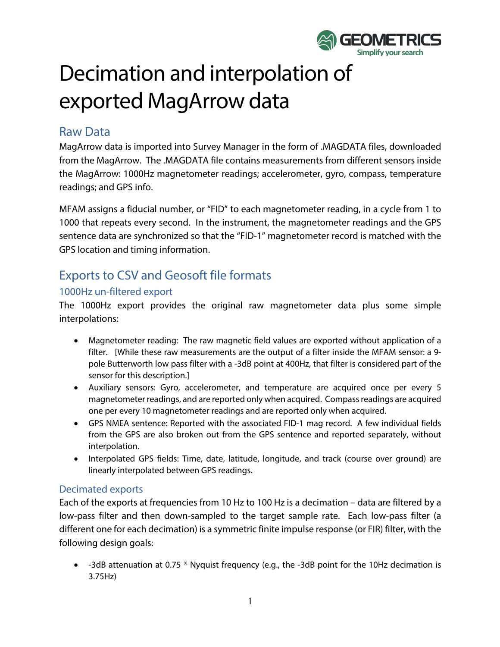

# Decimation and interpolation of exported MagArrow data

## Raw Data

MagArrow data is imported into Survey Manager in the form of .MAGDATA files, downloaded from the MagArrow. The .MAGDATA file contains measurements from different sensors inside the MagArrow: 1000Hz magnetometer readings; accelerometer, gyro, compass, temperature readings; and GPS info.

MFAM assigns a fiducial number, or "FID" to each magnetometer reading, in a cycle from 1 to 1000 that repeats every second. In the instrument, the magnetometer readings and the GPS sentence data are synchronized so that the "FID-1" magnetometer record is matched with the GPS location and timing information.

# Exports to CSV and Geosoft file formats

#### 1000Hz un-filtered export

The 1000Hz export provides the original raw magnetometer data plus some simple interpolations:

- Magnetometer reading: The raw magnetic field values are exported without application of a filter. [While these raw measurements are the output of a filter inside the MFAM sensor: a 9 pole Butterworth low pass filter with a -3dB point at 400Hz, that filter is considered part of the sensor for this description.]
- Auxiliary sensors: Gyro, accelerometer, and temperature are acquired once per every 5 magnetometer readings, and are reported only when acquired. Compass readings are acquired one per every 10 magnetometer readings and are reported only when acquired.
- GPS NMEA sentence: Reported with the associated FID-1 mag record. A few individual fields from the GPS are also broken out from the GPS sentence and reported separately, without interpolation.
- Interpolated GPS fields: Time, date, latitude, longitude, and track (course over ground) are linearly interpolated between GPS readings.

#### Decimated exports

Each of the exports at frequencies from 10 Hz to 100 Hz is a decimation – data are filtered by a low-pass filter and then down-sampled to the target sample rate. Each low-pass filter (a different one for each decimation) is a symmetric finite impulse response (or FIR) filter, with the following design goals:

• -3dB attenuation at 0.75 \* Nyquist frequency (e.g., the -3dB point for the 10Hz decimation is 3.75Hz)